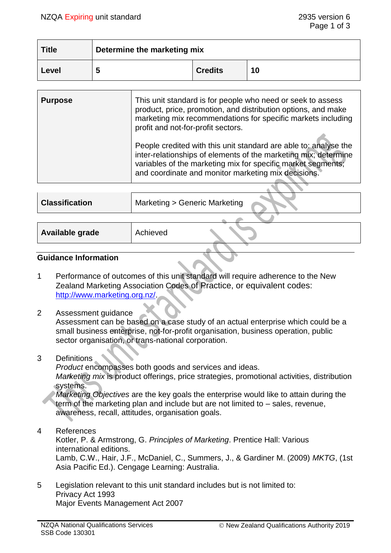| <b>Title</b> | Determine the marketing mix |                |    |
|--------------|-----------------------------|----------------|----|
| Level        |                             | <b>Credits</b> | 10 |

| <b>Purpose</b> | This unit standard is for people who need or seek to assess<br>product, price, promotion, and distribution options, and make<br>marketing mix recommendations for specific markets including<br>profit and not-for-profit sectors.                         |
|----------------|------------------------------------------------------------------------------------------------------------------------------------------------------------------------------------------------------------------------------------------------------------|
|                | People credited with this unit standard are able to: analyse the<br>inter-relationships of elements of the marketing mix; determine<br>variables of the marketing mix for specific market segments;<br>and coordinate and monitor marketing mix decisions. |

| <b>Classification</b> | Marketing > Generic Marketing |
|-----------------------|-------------------------------|
|                       |                               |
| Available grade       | Achieved                      |
|                       |                               |

#### **Guidance Information**

- 1 Performance of outcomes of this unit standard will require adherence to the New Zealand Marketing Association Codes of Practice, or equivalent codes: [http://www.marketing.org.nz/.](http://www.marketing.org.nz/)
- 2 Assessment guidance

Assessment can be based on a case study of an actual enterprise which could be a small business enterprise, not-for-profit organisation, business operation, public sector organisation, or trans-national corporation.

3 Definitions

*Product* encompasses both goods and services and ideas. *Marketing mix* is product offerings, price strategies, promotional activities, distribution systems.

*Marketing Objectives* are the key goals the enterprise would like to attain during the term of the marketing plan and include but are not limited to – sales, revenue, awareness, recall, attitudes, organisation goals.

4 References

Kotler, P. & Armstrong, G. *Principles of Marketing*. Prentice Hall: Various international editions. Lamb, C.W., Hair, J.F., McDaniel, C., Summers, J., & Gardiner M. (2009) *MKTG*, (1st Asia Pacific Ed.). Cengage Learning: Australia.

5 Legislation relevant to this unit standard includes but is not limited to: Privacy Act 1993 Major Events Management Act 2007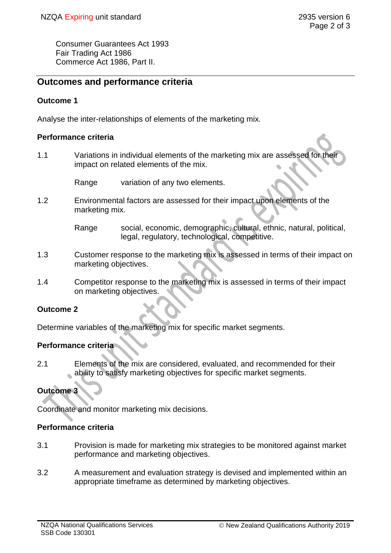Consumer Guarantees Act 1993 Fair Trading Act 1986 Commerce Act 1986, Part II.

# **Outcomes and performance criteria**

## **Outcome 1**

Analyse the inter-relationships of elements of the marketing mix.

#### **Performance criteria**

1.1 Variations in individual elements of the marketing mix are assessed for their impact on related elements of the mix.

Range variation of any two elements.

- 1.2 Environmental factors are assessed for their impact upon elements of the marketing mix.
	- Range social, economic, demographic, cultural, ethnic, natural, political, legal, regulatory, technological, competitive.
- 1.3 Customer response to the marketing mix is assessed in terms of their impact on marketing objectives.
- 1.4 Competitor response to the marketing mix is assessed in terms of their impact on marketing objectives.

### **Outcome 2**

Determine variables of the marketing mix for specific market segments.

# **Performance criteria**

2.1 Elements of the mix are considered, evaluated, and recommended for their ability to satisfy marketing objectives for specific market segments.

# **Outcome 3**

Coordinate and monitor marketing mix decisions.

### **Performance criteria**

- 3.1 Provision is made for marketing mix strategies to be monitored against market performance and marketing objectives.
- 3.2 A measurement and evaluation strategy is devised and implemented within an appropriate timeframe as determined by marketing objectives.